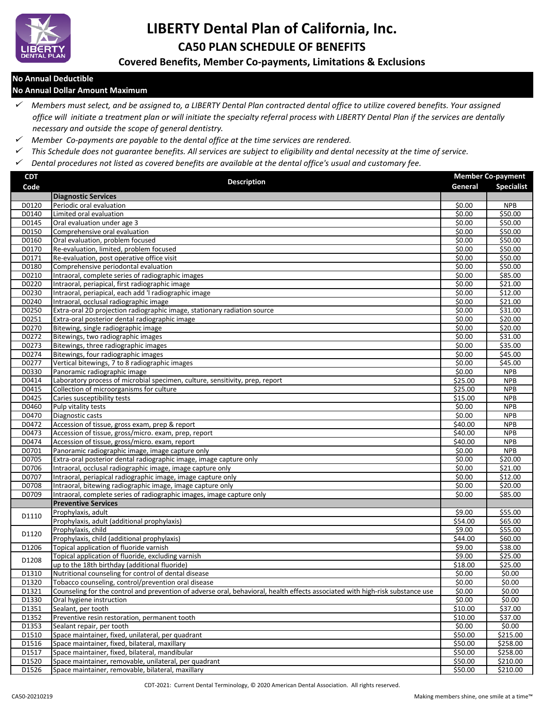

# **LIBERTY Dental Plan of California, Inc. CA50 PLAN SCHEDULE OF BENEFITS**

**Covered Benefits, Member Co-payments, Limitations & Exclusions**

### **No Annual Deductible**

#### **No Annual Dollar Amount Maximum**

- *Members must select, and be assigned to, a LIBERTY Dental Plan contracted dental office to utilize covered benefits. Your assigned office will initiate a treatment plan or will initiate the specialty referral process with LIBERTY Dental Plan if the services are dentally necessary and outside the scope of general dentistry.*
- *Member Co-payments are payable to the dental office at the time services are rendered.*
- *This Schedule does not guarantee benefits. All services are subject to eligibility and dental necessity at the time of service.*
- *Dental procedures not listed as covered benefits are available at the dental office's usual and customary fee.*

| <b>CDT</b> | <b>Description</b>                                                                                                            |                     | <b>Member Co-payment</b> |
|------------|-------------------------------------------------------------------------------------------------------------------------------|---------------------|--------------------------|
| Code       |                                                                                                                               | General             | <b>Specialist</b>        |
|            | <b>Diagnostic Services</b>                                                                                                    |                     |                          |
| D0120      | Periodic oral evaluation                                                                                                      | \$0.00              | <b>NPB</b>               |
| D0140      | Limited oral evaluation                                                                                                       | \$0.00              | \$50.00                  |
| D0145      | Oral evaluation under age 3                                                                                                   | \$0.00              | \$50.00                  |
| D0150      | Comprehensive oral evaluation                                                                                                 | \$0.00              | \$50.00                  |
| D0160      | Oral evaluation, problem focused                                                                                              | \$0.00              | \$50.00                  |
| D0170      | Re-evaluation, limited, problem focused                                                                                       | \$0.00              | \$50.00                  |
| D0171      | Re-evaluation, post operative office visit                                                                                    | \$0.00              | \$50.00                  |
| D0180      | Comprehensive periodontal evaluation                                                                                          | \$0.00              | \$50.00                  |
| D0210      | Intraoral, complete series of radiographic images                                                                             | \$0.00              | \$85.00                  |
| D0220      | Intraoral, periapical, first radiographic image                                                                               | \$0.00              | \$21.00                  |
| D0230      | Intraoral, periapical, each add 'I radiographic image                                                                         | \$0.00              | \$12.00                  |
| D0240      | Intraoral, occlusal radiographic image                                                                                        | \$0.00              | \$21.00                  |
| D0250      | Extra-oral 2D projection radiographic image, stationary radiation source                                                      | \$0.00              | \$31.00                  |
| D0251      | Extra-oral posterior dental radiographic image                                                                                | \$0.00              | \$20.00                  |
| D0270      | Bitewing, single radiographic image                                                                                           | \$0.00              | \$20.00                  |
| D0272      | Bitewings, two radiographic images                                                                                            | \$0.00              | \$31.00                  |
| D0273      | Bitewings, three radiographic images                                                                                          | \$0.00              | \$35.00                  |
| D0274      | Bitewings, four radiographic images                                                                                           | \$0.00              | \$45.00                  |
| D0277      | Vertical bitewings, 7 to 8 radiographic images                                                                                | \$0.00              | \$45.00                  |
| D0330      | Panoramic radiographic image                                                                                                  | \$0.00              | <b>NPB</b>               |
| D0414      | Laboratory process of microbial specimen, culture, sensitivity, prep, report                                                  | \$25.00             | <b>NPB</b>               |
| D0415      | Collection of microorganisms for culture                                                                                      | 525.00              | <b>NPB</b>               |
| D0425      | Caries susceptibility tests                                                                                                   | $\overline{$}15.00$ | <b>NPB</b>               |
| D0460      | Pulp vitality tests                                                                                                           | \$0.00              | <b>NPB</b>               |
| D0470      | Diagnostic casts                                                                                                              | $\overline{50.00}$  | <b>NPB</b>               |
| D0472      | Accession of tissue, gross exam, prep & report                                                                                | \$40.00             | <b>NPB</b>               |
| D0473      | Accession of tissue, gross/micro. exam, prep, report                                                                          | \$40.00             | <b>NPB</b>               |
| D0474      | Accession of tissue, gross/micro. exam, report                                                                                | \$40.00             | <b>NPB</b>               |
| D0701      | Panoramic radiographic image, image capture only                                                                              | \$0.00              | <b>NPB</b>               |
| D0705      | Extra-oral posterior dental radiographic image, image capture only                                                            | \$0.00              | \$20.00                  |
| D0706      | Intraoral, occlusal radiographic image, image capture only                                                                    | \$0.00              | \$21.00                  |
| D0707      | Intraoral, periapical radiographic image, image capture only                                                                  | \$0.00              | \$12.00                  |
| D0708      | Intraoral, bitewing radiographic image, image capture only                                                                    | \$0.00              | \$20.00                  |
| D0709      | Intraoral, complete series of radiographic images, image capture only                                                         | \$0.00              | \$85.00                  |
|            | <b>Preventive Services</b>                                                                                                    |                     |                          |
| D1110      | Prophylaxis, adult                                                                                                            | \$9.00              | \$55.00                  |
|            | Prophylaxis, adult (additional prophylaxis)                                                                                   | \$54.00             | \$65.00                  |
| D1120      | Prophylaxis, child                                                                                                            | \$9.00              | \$55.00                  |
|            | Prophylaxis, child (additional prophylaxis)                                                                                   | \$44.00             | \$60.00                  |
| D1206      | Topical application of fluoride varnish                                                                                       | \$9.00              | \$38.00                  |
| D1208      | Topical application of fluoride, excluding varnish                                                                            | \$9.00              | \$25.00                  |
|            | up to the 18th birthday (additional fluoride)                                                                                 | \$18.00             | \$25.00                  |
| D1310      | Nutritional counseling for control of dental disease                                                                          | \$0.00              | \$0.00                   |
| D1320      | Tobacco counseling, control/prevention oral disease                                                                           | \$0.00              | \$0.00                   |
| D1321      | Counseling for the control and prevention of adverse oral, behavioral, health effects associated with high-risk substance use | \$0.00              | \$0.00                   |
| D1330      | Oral hygiene instruction                                                                                                      | \$0.00              | \$0.00                   |
| D1351      | Sealant, per tooth                                                                                                            | \$10.00             | \$37.00                  |
| D1352      | Preventive resin restoration, permanent tooth                                                                                 | \$10.00             | \$37.00                  |
| D1353      | Sealant repair, per tooth                                                                                                     | \$0.00              | \$0.00                   |
| D1510      | Space maintainer, fixed, unilateral, per quadrant                                                                             | \$50.00             | \$215.00                 |
| D1516      | Space maintainer, fixed, bilateral, maxillary                                                                                 | 550.00              | \$258.00                 |
| D1517      | Space maintainer, fixed, bilateral, mandibular                                                                                | \$50.00             | \$258.00                 |
| D1520      | Space maintainer, removable, unilateral, per quadrant                                                                         | \$50.00             | 5210.00                  |
| D1526      | Space maintainer, removable, bilateral, maxillary                                                                             | \$50.00             | \$210.00                 |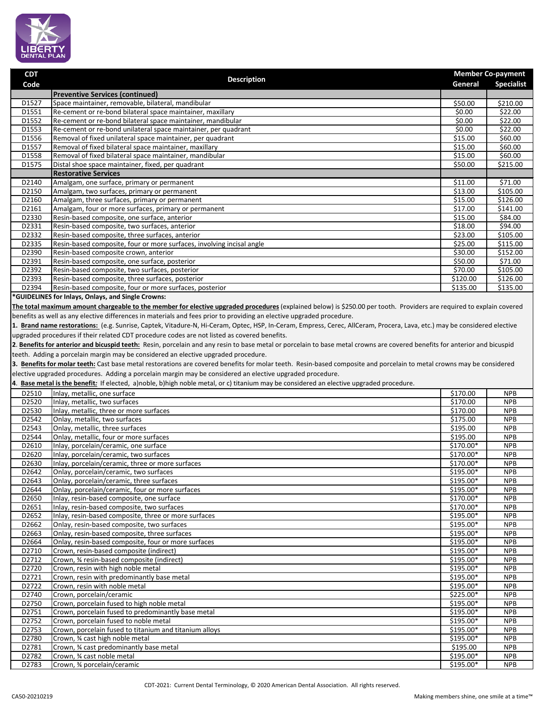

**Code Description**

**CDT**

|                | <b>Preventive Services (continued)</b>                                                                                                                                     |                                            |                          |
|----------------|----------------------------------------------------------------------------------------------------------------------------------------------------------------------------|--------------------------------------------|--------------------------|
| D1527          | Space maintainer, removable, bilateral, mandibular                                                                                                                         | \$50.00                                    | \$210.00                 |
| D1551          | Re-cement or re-bond bilateral space maintainer, maxillary                                                                                                                 | \$0.00                                     | \$22.00                  |
| D1552          | Re-cement or re-bond bilateral space maintainer, mandibular                                                                                                                | \$0.00<br>\$0.00                           | \$22.00                  |
| D1553          | Re-cement or re-bond unilateral space maintainer, per quadrant                                                                                                             |                                            | \$22.00                  |
| D1556<br>D1557 | Removal of fixed unilateral space maintainer, per quadrant<br>Removal of fixed bilateral space maintainer, maxillary                                                       | \$15.00<br>\$15.00                         | \$60.00<br>\$60.00       |
| D1558          | Removal of fixed bilateral space maintainer, mandibular                                                                                                                    | \$15.00                                    | \$60.00                  |
| D1575          | Distal shoe space maintainer, fixed, per quadrant                                                                                                                          | \$50.00                                    | \$215.00                 |
|                | <b>Restorative Services</b>                                                                                                                                                |                                            |                          |
| D2140          | Amalgam, one surface, primary or permanent                                                                                                                                 | \$11.00                                    | \$71.00                  |
| D2150          | Amalgam, two surfaces, primary or permanent                                                                                                                                | \$13.00                                    | \$105.00                 |
| D2160          | Amalgam, three surfaces, primary or permanent                                                                                                                              | \$15.00                                    | \$126.00                 |
| D2161          | Amalgam, four or more surfaces, primary or permanent                                                                                                                       | \$17.00                                    | \$141.00                 |
| D2330          | Resin-based composite, one surface, anterior                                                                                                                               | \$15.00                                    | \$84.00                  |
| D2331          | Resin-based composite, two surfaces, anterior                                                                                                                              | \$18.00                                    | \$94.00                  |
| D2332          | Resin-based composite, three surfaces, anterior                                                                                                                            | \$23.00                                    | \$105.00                 |
| D2335          | Resin-based composite, four or more surfaces, involving incisal angle                                                                                                      | \$25.00                                    | \$115.00                 |
| D2390          | Resin-based composite crown, anterior                                                                                                                                      | \$30.00                                    | \$152.00                 |
| D2391          | Resin-based composite, one surface, posterior                                                                                                                              | \$50.00                                    | \$71.00                  |
| D2392<br>D2393 | Resin-based composite, two surfaces, posterior<br>Resin-based composite, three surfaces, posterior                                                                         | \$70.00<br>\$120.00                        | \$105.00<br>\$126.00     |
| D2394          | Resin-based composite, four or more surfaces, posterior                                                                                                                    | \$135.00                                   | \$135.00                 |
|                | *GUIDELINES for Inlays, Onlays, and Single Crowns:                                                                                                                         |                                            |                          |
|                | The total maximum amount chargeable to the member for elective upgraded procedures (explained below) is \$250.00 per tooth. Providers are required to explain covered      |                                            |                          |
|                | benefits as well as any elective differences in materials and fees prior to providing an elective upgraded procedure.                                                      |                                            |                          |
|                |                                                                                                                                                                            |                                            |                          |
|                | 1. Brand name restorations: (e.g. Sunrise, Captek, Vitadure-N, Hi-Ceram, Optec, HSP, In-Ceram, Empress, Cerec, AllCeram, Procera, Lava, etc.) may be considered elective   |                                            |                          |
|                | upgraded procedures if their related CDT procedure codes are not listed as covered benefits.                                                                               |                                            |                          |
|                | 2. Benefits for anterior and bicuspid teeth: Resin, porcelain and any resin to base metal or porcelain to base metal crowns are covered benefits for anterior and bicuspid |                                            |                          |
|                | teeth. Adding a porcelain margin may be considered an elective upgraded procedure.                                                                                         |                                            |                          |
|                | 3. Benefits for molar teeth: Cast base metal restorations are covered benefits for molar teeth. Resin-based composite and porcelain to metal crowns may be considered      |                                            |                          |
|                | elective upgraded procedures. Adding a porcelain margin may be considered an elective upgraded procedure.                                                                  |                                            |                          |
|                | 4. Base metal is the benefit: If elected, a)noble, b)high noble metal, or c) titanium may be considered an elective upgraded procedure.                                    |                                            |                          |
| D2510          | Inlay, metallic, one surface                                                                                                                                               | \$170.00                                   | <b>NPB</b>               |
| D2520          | Inlay, metallic, two surfaces                                                                                                                                              | \$170.00                                   | <b>NPB</b>               |
| D2530          | Inlay, metallic, three or more surfaces                                                                                                                                    | \$170.00                                   | <b>NPB</b>               |
| D2542<br>D2543 | Onlay, metallic, two surfaces<br>Onlay, metallic, three surfaces                                                                                                           | \$175.00<br>\$195.00                       | <b>NPB</b><br><b>NPB</b> |
| D2544          | Onlay, metallic, four or more surfaces                                                                                                                                     | \$195.00                                   | <b>NPB</b>               |
| D2610          | Inlay, porcelain/ceramic, one surface                                                                                                                                      | $$170.00*$                                 | <b>NPB</b>               |
| D2620          | Inlay, porcelain/ceramic, two surfaces                                                                                                                                     | \$170.00*                                  | <b>NPB</b>               |
| D2630          | Inlay, porcelain/ceramic, three or more surfaces                                                                                                                           | $$170.00*$                                 | <b>NPB</b>               |
| D2642          | Onlay, porcelain/ceramic, two surfaces                                                                                                                                     | \$195.00*                                  | <b>NPB</b>               |
| D2643          | Onlay, porcelain/ceramic, three surfaces                                                                                                                                   | \$195.00*                                  | <b>NPB</b>               |
| D2644          | Onlay, porcelain/ceramic, four or more surfaces                                                                                                                            | \$195.00*                                  | <b>NPB</b>               |
| D2650          | Inlay, resin-based composite, one surface                                                                                                                                  | $$170.00*$                                 | <b>NPB</b>               |
| D2651          | Inlay, resin-based composite, two surfaces                                                                                                                                 | $$170.00*$                                 | <b>NPB</b>               |
| D2652          | Inlay, resin-based composite, three or more surfaces                                                                                                                       | \$195.00*                                  | <b>NPB</b>               |
| D2662          | Onlay, resin-based composite, two surfaces                                                                                                                                 | \$195.00*                                  | <b>NPB</b>               |
| D2663          | Onlay, resin-based composite, three surfaces                                                                                                                               | \$195.00*                                  | <b>NPB</b>               |
| D2664          | Onlay, resin-based composite, four or more surfaces                                                                                                                        | \$195.00*                                  | <b>NPB</b>               |
| D2710          | Crown, resin-based composite (indirect)                                                                                                                                    | \$195.00*                                  | <b>NPB</b>               |
| D2712          | Crown, % resin-based composite (indirect)                                                                                                                                  | \$195.00*                                  | <b>NPB</b>               |
| D2720<br>D2721 | Crown, resin with high noble metal<br>Crown, resin with predominantly base metal                                                                                           | \$195.00*<br>\$195.00*                     | <b>NPB</b><br><b>NPB</b> |
| D2722          | Crown, resin with noble metal                                                                                                                                              | \$195.00*                                  | <b>NPB</b>               |
| D2740          | Crown, porcelain/ceramic                                                                                                                                                   | \$225.00*                                  | <b>NPB</b>               |
| D2750          | Crown, porcelain fused to high noble metal                                                                                                                                 | $$195.00*$                                 | <b>NPB</b>               |
| D2751          | Crown, porcelain fused to predominantly base metal                                                                                                                         | \$195.00*                                  | <b>NPB</b>               |
| D2752          | Crown, porcelain fused to noble metal                                                                                                                                      | \$195.00*                                  | <b>NPB</b>               |
| D2753          | Crown, porcelain fused to titanium and titanium alloys                                                                                                                     | \$195.00*                                  | <b>NPB</b>               |
| D2780          | Crown, % cast high noble metal                                                                                                                                             | \$195.00*                                  | <b>NPB</b>               |
| D2781          | Crown, 34 cast predominantly base metal                                                                                                                                    | \$195.00                                   | <b>NPB</b>               |
| D2782          | Crown, 34 cast noble metal                                                                                                                                                 | \$195.00*                                  | <b>NPB</b>               |
| D2783          | Crown, 34 porcelain/ceramic                                                                                                                                                | \$195.00*                                  | <b>NPB</b>               |
| CA50-20210219  | CDT-2021: Current Dental Terminology, © 2020 American Dental Association. All rights reserved.                                                                             | Making members shine, one smile at a time" |                          |

 **Member Co-payment General Specialist**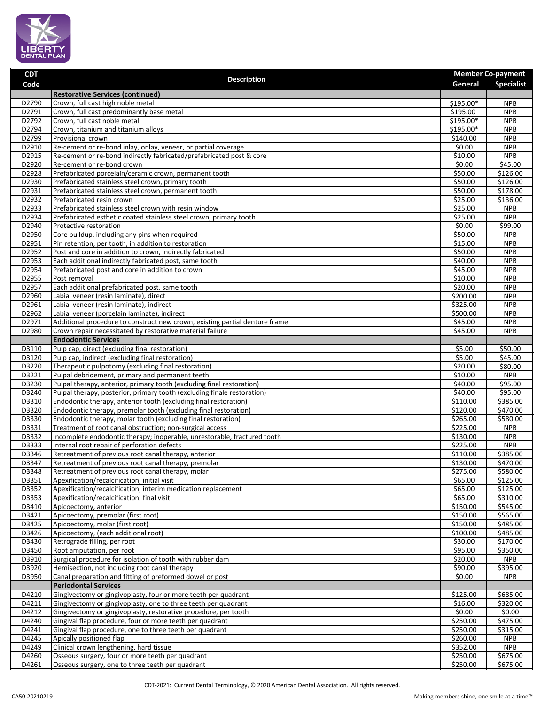

| <b>CDT</b><br>Code | <b>Description</b>                                                                                                       | General                                    | <b>Member Co-payment</b><br><b>Specialist</b> |
|--------------------|--------------------------------------------------------------------------------------------------------------------------|--------------------------------------------|-----------------------------------------------|
|                    | <b>Restorative Services (continued)</b>                                                                                  |                                            |                                               |
| D2790              | Crown, full cast high noble metal                                                                                        | \$195.00*                                  | <b>NPB</b>                                    |
| D2791              | Crown, full cast predominantly base metal                                                                                | \$195.00                                   | <b>NPB</b>                                    |
| D2792              | Crown, full cast noble metal                                                                                             | \$195.00*                                  | <b>NPB</b>                                    |
| D2794<br>D2799     | Crown, titanium and titanium alloys<br>Provisional crown                                                                 | \$195.00*<br>\$140.00                      | <b>NPB</b><br><b>NPB</b>                      |
| D2910              | Re-cement or re-bond inlay, onlay, veneer, or partial coverage                                                           | \$0.00                                     | <b>NPB</b>                                    |
| D2915              | Re-cement or re-bond indirectly fabricated/prefabricated post & core                                                     | \$10.00                                    | <b>NPB</b>                                    |
| D2920              | Re-cement or re-bond crown                                                                                               | \$0.00                                     | \$45.00                                       |
| D2928              | Prefabricated porcelain/ceramic crown, permanent tooth                                                                   | \$50.00                                    | \$126.00                                      |
| D2930              | Prefabricated stainless steel crown, primary tooth                                                                       | \$50.00                                    | \$126.00                                      |
| D2931              | Prefabricated stainless steel crown, permanent tooth                                                                     | \$50.00                                    | \$178.00                                      |
| D2932<br>D2933     | Prefabricated resin crown<br>Prefabricated stainless steel crown with resin window                                       | \$25.00<br>\$25.00                         | \$136.00<br><b>NPB</b>                        |
| D2934              | Prefabricated esthetic coated stainless steel crown, primary tooth                                                       | \$25.00                                    | <b>NPB</b>                                    |
| D2940              | Protective restoration                                                                                                   | \$0.00                                     | \$99.00                                       |
| D2950              | Core buildup, including any pins when required                                                                           | \$50.00                                    | <b>NPB</b>                                    |
| D2951              | Pin retention, per tooth, in addition to restoration                                                                     | \$15.00                                    | <b>NPB</b>                                    |
| D2952              | Post and core in addition to crown, indirectly fabricated                                                                | \$50.00                                    | <b>NPB</b>                                    |
| D2953              | Each additional indirectly fabricated post, same tooth                                                                   | \$40.00                                    | <b>NPB</b>                                    |
| D2954              | Prefabricated post and core in addition to crown                                                                         | \$45.00                                    | <b>NPB</b>                                    |
| D2955<br>D2957     | Post removal                                                                                                             | \$10.00<br>520.00                          | <b>NPB</b><br><b>NPB</b>                      |
| D2960              | Each additional prefabricated post, same tooth<br>Labial veneer (resin laminate), direct                                 | \$200.00                                   | <b>NPB</b>                                    |
| D2961              | Labial veneer (resin laminate), indirect                                                                                 | \$325.00                                   | <b>NPB</b>                                    |
| D2962              | Labial veneer (porcelain laminate), indirect                                                                             | \$500.00                                   | <b>NPB</b>                                    |
| D2971              | Additional procedure to construct new crown, existing partial denture frame                                              | \$45.00                                    | <b>NPB</b>                                    |
| D2980              | Crown repair necessitated by restorative material failure                                                                | \$45.00                                    | <b>NPB</b>                                    |
|                    | <b>Endodontic Services</b>                                                                                               |                                            |                                               |
| D3110              | Pulp cap, direct (excluding final restoration)                                                                           | \$5.00                                     | \$50.00                                       |
| D3120              | Pulp cap, indirect (excluding final restoration)                                                                         | \$5.00                                     | \$45.00                                       |
| D3220              | Therapeutic pulpotomy (excluding final restoration)                                                                      | \$20.00                                    | \$80.00                                       |
| D3221<br>D3230     | Pulpal debridement, primary and permanent teeth<br>Pulpal therapy, anterior, primary tooth (excluding final restoration) | $\overline{$}10.00$<br>$\overline{$}40.00$ | <b>NPB</b><br>\$95.00                         |
| D3240              | Pulpal therapy, posterior, primary tooth (excluding finale restoration)                                                  | \$40.00                                    | \$95.00                                       |
| D3310              | Endodontic therapy, anterior tooth (excluding final restoration)                                                         | \$110.00                                   | \$385.00                                      |
| D3320              | Endodontic therapy, premolar tooth (excluding final restoration)                                                         | \$120.00                                   | \$470.00                                      |
| D3330              | Endodontic therapy, molar tooth (excluding final restoration)                                                            | \$265.00                                   | \$580.00                                      |
| D3331              | Treatment of root canal obstruction; non-surgical access                                                                 | \$225.00                                   | <b>NPB</b>                                    |
| D3332              | Incomplete endodontic therapy; inoperable, unrestorable, fractured tooth                                                 | \$130.00                                   | <b>NPB</b>                                    |
| D3333              | Internal root repair of perforation defects                                                                              | \$225.00                                   | <b>NPB</b>                                    |
| D3346              | Retreatment of previous root canal therapy, anterior<br>Retreatment of previous root canal therapy, premolar             | \$110.00<br>\$130.00                       | \$385.00                                      |
| D3347<br>D3348     | Retreatment of previous root canal therapy, molar                                                                        | \$275.00                                   | \$470.00<br>\$580.00                          |
| D3351              | Apexification/recalcification, initial visit                                                                             | \$65.00                                    | \$125.00                                      |
| D3352              | Apexification/recalcification, interim medication replacement                                                            | \$65.00                                    | \$125.00                                      |
| D3353              | Apexification/recalcification, final visit                                                                               | \$65.00                                    | \$310.00                                      |
| D3410              | Apicoectomy, anterior                                                                                                    | \$150.00                                   | \$545.00                                      |
| D3421              | Apicoectomy, premolar (first root)                                                                                       | \$150.00                                   | \$565.00                                      |
| D3425              | Apicoectomy, molar (first root)                                                                                          | \$150.00                                   | \$485.00                                      |
| D3426<br>D3430     | Apicoectomy, (each additional root)<br>Retrograde filling, per root                                                      | \$100.00<br>\$30.00                        | \$485.00<br>\$170.00                          |
| D3450              | Root amputation, per root                                                                                                | \$95.00                                    | \$350.00                                      |
| D3910              | Surgical procedure for isolation of tooth with rubber dam                                                                | \$20.00                                    | <b>NPB</b>                                    |
| D3920              | Hemisection, not including root canal therapy                                                                            | \$90.00                                    | \$395.00                                      |
| D3950              | Canal preparation and fitting of preformed dowel or post                                                                 | \$0.00                                     | <b>NPB</b>                                    |
|                    | <b>Periodontal Services</b>                                                                                              |                                            |                                               |
| D4210              | Gingivectomy or gingivoplasty, four or more teeth per quadrant                                                           | \$125.00                                   | \$685.00                                      |
| D4211              | Gingivectomy or gingivoplasty, one to three teeth per quadrant                                                           | \$16.00                                    | \$320.00                                      |
| D4212              | Gingivectomy or gingivoplasty, restorative procedure, per tooth                                                          | \$0.00                                     | \$0.00                                        |
| D4240              | Gingival flap procedure, four or more teeth per quadrant                                                                 | \$250.00                                   | \$475.00                                      |
| D4241<br>D4245     | Gingival flap procedure, one to three teeth per quadrant<br>Apically positioned flap                                     | \$250.00<br>\$260.00                       | \$315.00<br><b>NPB</b>                        |
| D4249              | Clinical crown lengthening, hard tissue                                                                                  | \$352.00                                   | <b>NPB</b>                                    |
| D4260              | Osseous surgery, four or more teeth per quadrant                                                                         | \$250.00                                   | \$675.00                                      |
| D4261              | Osseous surgery, one to three teeth per quadrant                                                                         | \$250.00                                   | \$675.00                                      |
|                    |                                                                                                                          |                                            |                                               |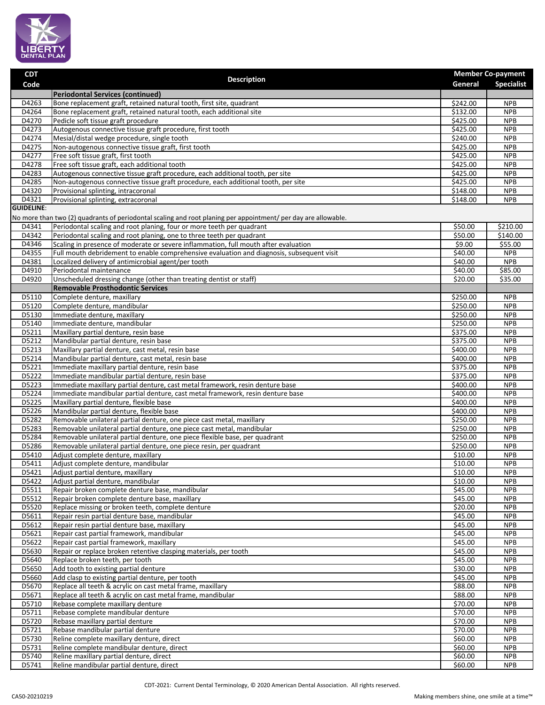

| <b>CDT</b>        | <b>Description</b>                                                                                                                                              |                      | <b>Member Co-payment</b> |
|-------------------|-----------------------------------------------------------------------------------------------------------------------------------------------------------------|----------------------|--------------------------|
| Code              |                                                                                                                                                                 | General              | <b>Specialist</b>        |
|                   | <b>Periodontal Services (continued)</b>                                                                                                                         |                      |                          |
| D4263             | Bone replacement graft, retained natural tooth, first site, quadrant                                                                                            | \$242.00             | <b>NPB</b>               |
| D4264<br>D4270    | Bone replacement graft, retained natural tooth, each additional site                                                                                            | \$132.00<br>\$425.00 | <b>NPB</b><br><b>NPB</b> |
| D4273             | Pedicle soft tissue graft procedure<br>Autogenous connective tissue graft procedure, first tooth                                                                | \$425.00             | <b>NPB</b>               |
| D4274             | Mesial/distal wedge procedure, single tooth                                                                                                                     | \$240.00             | <b>NPB</b>               |
| D4275             | Non-autogenous connective tissue graft, first tooth                                                                                                             | \$425.00             | <b>NPB</b>               |
| D4277             | Free soft tissue graft, first tooth                                                                                                                             | \$425.00             | <b>NPB</b>               |
| D4278             | Free soft tissue graft, each additional tooth                                                                                                                   | \$425.00             | <b>NPB</b>               |
| D4283             | Autogenous connective tissue graft procedure, each additional tooth, per site                                                                                   | \$425.00             | <b>NPB</b>               |
| D4285             | Non-autogenous connective tissue graft procedure, each additional tooth, per site                                                                               | \$425.00             | <b>NPB</b>               |
| D4320             | Provisional splinting, intracoronal                                                                                                                             | \$148.00             | <b>NPB</b>               |
| D4321             | Provisional splinting, extracoronal                                                                                                                             | \$148.00             | <b>NPB</b>               |
| <b>GUIDELINE:</b> |                                                                                                                                                                 |                      |                          |
|                   | No more than two (2) quadrants of periodontal scaling and root planing per appointment/ per day are allowable.                                                  |                      |                          |
| D4341             | Periodontal scaling and root planing, four or more teeth per quadrant                                                                                           | \$50.00              | \$210.00                 |
| D4342             | Periodontal scaling and root planing, one to three teeth per quadrant                                                                                           | \$50.00              | \$140.00                 |
| D4346             | Scaling in presence of moderate or severe inflammation, full mouth after evaluation                                                                             | \$9.00               | \$55.00                  |
| D4355             | Full mouth debridement to enable comprehensive evaluation and diagnosis, subsequent visit<br>Localized delivery of antimicrobial agent/per tooth                | \$40.00<br>\$40.00   | <b>NPB</b><br><b>NPB</b> |
| D4381<br>D4910    | Periodontal maintenance                                                                                                                                         | \$40.00              | \$85.00                  |
| D4920             | Unscheduled dressing change (other than treating dentist or staff)                                                                                              | \$20.00              | \$35.00                  |
|                   | <b>Removable Prosthodontic Services</b>                                                                                                                         |                      |                          |
| D5110             | Complete denture, maxillary                                                                                                                                     | \$250.00             | <b>NPB</b>               |
| D5120             | Complete denture, mandibular                                                                                                                                    | \$250.00             | <b>NPB</b>               |
| D5130             | Immediate denture, maxillary                                                                                                                                    | \$250.00             | <b>NPB</b>               |
| D5140             | Immediate denture, mandibular                                                                                                                                   | 5250.00              | <b>NPB</b>               |
| D5211             | Maxillary partial denture, resin base                                                                                                                           | \$375.00             | <b>NPB</b>               |
| D5212             | Mandibular partial denture, resin base                                                                                                                          | \$375.00             | <b>NPB</b>               |
| D5213             | Maxillary partial denture, cast metal, resin base                                                                                                               | \$400.00             | <b>NPB</b>               |
| D5214             | Mandibular partial denture, cast metal, resin base                                                                                                              | \$400.00             | <b>NPB</b>               |
| D5221             | Immediate maxillary partial denture, resin base                                                                                                                 | \$375.00             | <b>NPB</b>               |
| D5222<br>D5223    | Immediate mandibular partial denture, resin base                                                                                                                | \$375.00             | <b>NPB</b><br><b>NPB</b> |
| D5224             | Immediate maxillary partial denture, cast metal framework, resin denture base<br>Immediate mandibular partial denture, cast metal framework, resin denture base | \$400.00<br>\$400.00 | <b>NPB</b>               |
| D5225             | Maxillary partial denture, flexible base                                                                                                                        | \$400.00             | <b>NPB</b>               |
| D5226             | Mandibular partial denture, flexible base                                                                                                                       | \$400.00             | <b>NPB</b>               |
| D5282             | Removable unilateral partial denture, one piece cast metal, maxillary                                                                                           | \$250.00             | <b>NPB</b>               |
| D5283             | Removable unilateral partial denture, one piece cast metal, mandibular                                                                                          | \$250.00             | <b>NPB</b>               |
| D5284             | Removable unilateral partial denture, one piece flexible base, per quadrant                                                                                     | \$250.00             | <b>NPB</b>               |
| D5286             | Removable unilateral partial denture, one piece resin, per quadrant                                                                                             | \$250.00             | <b>NPB</b>               |
| D5410             | Adjust complete denture, maxillary                                                                                                                              | \$10.00              | <b>NPB</b>               |
| D5411             | Adjust complete denture, mandibular                                                                                                                             | \$10.00              | <b>NPB</b>               |
| D5421             | Adjust partial denture, maxillary                                                                                                                               | \$10.00              | <b>NPB</b>               |
| D5422             | Adjust partial denture, mandibular                                                                                                                              | \$10.00              | <b>NPB</b>               |
| D5511             | Repair broken complete denture base, mandibular                                                                                                                 | \$45.00              | <b>NPB</b>               |
| D5512             | Repair broken complete denture base, maxillary                                                                                                                  | \$45.00              | <b>NPB</b>               |
| D5520<br>D5611    | Replace missing or broken teeth, complete denture<br>Repair resin partial denture base, mandibular                                                              | \$20.00<br>\$45.00   | <b>NPB</b><br><b>NPB</b> |
| D5612             | Repair resin partial denture base, maxillary                                                                                                                    | \$45.00              | <b>NPB</b>               |
| D5621             | Repair cast partial framework, mandibular                                                                                                                       | \$45.00              | <b>NPB</b>               |
| D5622             | Repair cast partial framework, maxillary                                                                                                                        | \$45.00              | <b>NPB</b>               |
| D5630             | Repair or replace broken retentive clasping materials, per tooth                                                                                                | \$45.00              | <b>NPB</b>               |
| D5640             | Replace broken teeth, per tooth                                                                                                                                 | \$45.00              | <b>NPB</b>               |
| D5650             | Add tooth to existing partial denture                                                                                                                           | \$30.00              | <b>NPB</b>               |
| D5660             | Add clasp to existing partial denture, per tooth                                                                                                                | \$45.00              | <b>NPB</b>               |
| D5670             | Replace all teeth & acrylic on cast metal frame, maxillary                                                                                                      | \$88.00              | <b>NPB</b>               |
| D5671             | Replace all teeth & acrylic on cast metal frame, mandibular                                                                                                     | \$88.00              | <b>NPB</b>               |
| D5710             | Rebase complete maxillary denture                                                                                                                               | \$70.00              | <b>NPB</b>               |
| D5711             | Rebase complete mandibular denture                                                                                                                              | \$70.00              | <b>NPB</b>               |
| D5720             | Rebase maxillary partial denture                                                                                                                                | $\overline{$}70.00$  | <b>NPB</b>               |
| D5721<br>D5730    | Rebase mandibular partial denture                                                                                                                               | \$70.00<br>\$60.00   | <b>NPB</b><br><b>NPB</b> |
| D5731             | Reline complete maxillary denture, direct<br>Reline complete mandibular denture, direct                                                                         | \$60.00              | <b>NPB</b>               |
| D5740             | Reline maxillary partial denture, direct                                                                                                                        | \$60.00              | <b>NPB</b>               |
| D5741             | Reline mandibular partial denture, direct                                                                                                                       | \$60.00              | <b>NPB</b>               |
|                   |                                                                                                                                                                 |                      |                          |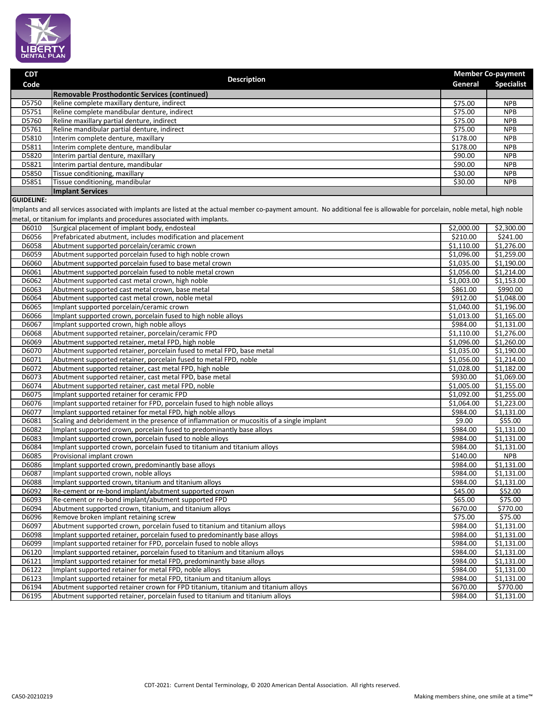

| <b>CDT</b>        | <b>Description</b>                                                                                                                                                                                                                                      |            | <b>Member Co-payment</b> |
|-------------------|---------------------------------------------------------------------------------------------------------------------------------------------------------------------------------------------------------------------------------------------------------|------------|--------------------------|
| Code              |                                                                                                                                                                                                                                                         | General    | <b>Specialist</b>        |
|                   | <b>Removable Prosthodontic Services (continued)</b>                                                                                                                                                                                                     |            |                          |
| D5750             | Reline complete maxillary denture, indirect                                                                                                                                                                                                             | \$75.00    | <b>NPB</b>               |
| D5751             | Reline complete mandibular denture, indirect                                                                                                                                                                                                            | \$75.00    | <b>NPB</b>               |
| D5760             | Reline maxillary partial denture, indirect                                                                                                                                                                                                              | \$75.00    | <b>NPB</b>               |
| D5761             | Reline mandibular partial denture, indirect                                                                                                                                                                                                             | \$75.00    | <b>NPB</b>               |
| D5810             | Interim complete denture, maxillary                                                                                                                                                                                                                     | \$178.00   | <b>NPB</b>               |
| D5811             | Interim complete denture, mandibular                                                                                                                                                                                                                    | \$178.00   | <b>NPB</b>               |
| D5820             | Interim partial denture, maxillary                                                                                                                                                                                                                      | \$90.00    | <b>NPB</b>               |
| D5821             | Interim partial denture, mandibular                                                                                                                                                                                                                     | \$90.00    | <b>NPB</b>               |
| D5850             | Tissue conditioning, maxillary                                                                                                                                                                                                                          | \$30.00    | <b>NPB</b>               |
| D5851             | Tissue conditioning, mandibular                                                                                                                                                                                                                         | \$30.00    | <b>NPB</b>               |
|                   | <b>Implant Services</b>                                                                                                                                                                                                                                 |            |                          |
| <b>GUIDELINE:</b> | Implants and all services associated with implants are listed at the actual member co-payment amount. No additional fee is allowable for porcelain, noble metal, high noble<br>metal, or titanium for implants and procedures associated with implants. |            |                          |
| D6010             | Surgical placement of implant body, endosteal                                                                                                                                                                                                           | \$2,000.00 | \$2,300.00               |
| D6056             | Prefabricated abutment, includes modification and placement                                                                                                                                                                                             | \$210.00   | \$241.00                 |
| D6058             | Abutment supported porcelain/ceramic crown                                                                                                                                                                                                              | \$1,110.00 | \$1,276.00               |
| D6059             | Abutment supported porcelain fused to high noble crown                                                                                                                                                                                                  | \$1,096.00 | \$1,259.00               |
| D6060             | Abutment supported porcelain fused to base metal crown                                                                                                                                                                                                  | \$1,035.00 | \$1,190.00               |
| D6061             | Abutment supported porcelain fused to noble metal crown                                                                                                                                                                                                 | \$1,056.00 | \$1,214.00               |
| D6062             | Abutment supported cast metal crown, high noble                                                                                                                                                                                                         | \$1,003.00 | \$1,153.00               |
| D6063             | Abutment supported cast metal crown, base metal                                                                                                                                                                                                         | \$861.00   | \$990.00                 |
| D6064             | Abutment supported cast metal crown, noble metal                                                                                                                                                                                                        | \$912.00   | \$1,048.00               |
| D6065             | Implant supported porcelain/ceramic crown                                                                                                                                                                                                               | \$1,040.00 | \$1,196.00               |
| D6066             | Implant supported crown, porcelain fused to high noble alloys                                                                                                                                                                                           | \$1,013.00 | \$1,165.00               |
| D6067             | Implant supported crown, high noble alloys                                                                                                                                                                                                              | \$984.00   | \$1,131.00               |
| D6068             | Abutment supported retainer, porcelain/ceramic FPD                                                                                                                                                                                                      | \$1,110.00 | \$1,276.00               |
| D6069             | Abutment supported retainer, metal FPD, high noble                                                                                                                                                                                                      | \$1,096.00 | \$1,260.00               |
| D6070             | Abutment supported retainer, porcelain fused to metal FPD, base metal                                                                                                                                                                                   | \$1,035.00 | \$1,190.00               |
| D6071             | Abutment supported retainer, porcelain fused to metal FPD, noble                                                                                                                                                                                        | \$1,056.00 | \$1,214.00               |
| D6072             | Abutment supported retainer, cast metal FPD, high noble                                                                                                                                                                                                 | \$1,028.00 | \$1,182.00               |
| D6073             | Abutment supported retainer, cast metal FPD, base metal                                                                                                                                                                                                 | \$930.00   | \$1,069.00               |
| D6074             | Abutment supported retainer, cast metal FPD, noble                                                                                                                                                                                                      | \$1,005.00 | \$1,155.00               |
| D6075             | Implant supported retainer for ceramic FPD                                                                                                                                                                                                              | \$1,092.00 | \$1,255.00               |
| D6076             | Implant supported retainer for FPD, porcelain fused to high noble alloys                                                                                                                                                                                | \$1,064.00 | \$1,223.00               |
| D6077             | Implant supported retainer for metal FPD, high noble alloys                                                                                                                                                                                             | \$984.00   | \$1,131.00               |
| D6081             | Scaling and debridement in the presence of inflammation or mucositis of a single implant                                                                                                                                                                | \$9.00     | \$55.00                  |
| D6082             | Implant supported crown, porcelain fused to predominantly base alloys                                                                                                                                                                                   | \$984.00   | \$1,131.00               |
| D6083             | Implant supported crown, porcelain fused to noble alloys                                                                                                                                                                                                | \$984.00   | \$1,131.00               |
| D6084             | Implant supported crown, porcelain fused to titanium and titanium alloys                                                                                                                                                                                | \$984.00   | \$1,131.00               |
| D6085             | Provisional implant crown                                                                                                                                                                                                                               | \$140.00   | <b>NPB</b>               |
| D6086             | Implant supported crown, predominantly base alloys                                                                                                                                                                                                      | \$984.00   | \$1,131.00               |
| D6087             | Implant supported crown, noble alloys                                                                                                                                                                                                                   | \$984.00   | \$1,131.00               |
| D6088             | Implant supported crown, titanium and titanium alloys                                                                                                                                                                                                   | \$984.00   | \$1,131.00               |
| D6092             | Re-cement or re-bond implant/abutment supported crown                                                                                                                                                                                                   | \$45.00    | \$52.00                  |
| D6093             | Re-cement or re-bond implant/abutment supported FPD                                                                                                                                                                                                     | \$65.00    | \$75.00                  |
| D6094             | Abutment supported crown, titanium, and titanium alloys                                                                                                                                                                                                 | \$670.00   | \$770.00                 |
| D6096             | Remove broken implant retaining screw                                                                                                                                                                                                                   | \$75.00    | \$75.00                  |
| D6097             | Abutment supported crown, porcelain fused to titanium and titanium alloys                                                                                                                                                                               | \$984.00   | \$1,131.00               |
| D6098             | Implant supported retainer, porcelain fused to predominantly base alloys                                                                                                                                                                                | \$984.00   | \$1,131.00               |
| D6099             | Implant supported retainer for FPD, porcelain fused to noble alloys                                                                                                                                                                                     | \$984.00   | \$1,131.00               |
| D6120             | Implant supported retainer, porcelain fused to titanium and titanium alloys                                                                                                                                                                             | \$984.00   | \$1,131.00               |
| D6121             | Implant supported retainer for metal FPD, predominantly base alloys                                                                                                                                                                                     | \$984.00   | \$1,131.00               |
| D6122             | Implant supported retainer for metal FPD, noble alloys                                                                                                                                                                                                  | \$984.00   | \$1,131.00               |
| D6123             | Implant supported retainer for metal FPD, titanium and titanium alloys                                                                                                                                                                                  | \$984.00   | \$1,131.00               |
| D6194             | Abutment supported retainer crown for FPD titanium, titanium and titanium alloys                                                                                                                                                                        | \$670.00   | \$770.00                 |
| D6195             | Abutment supported retainer, porcelain fused to titanium and titanium alloys                                                                                                                                                                            | \$984.00   | \$1,131.00               |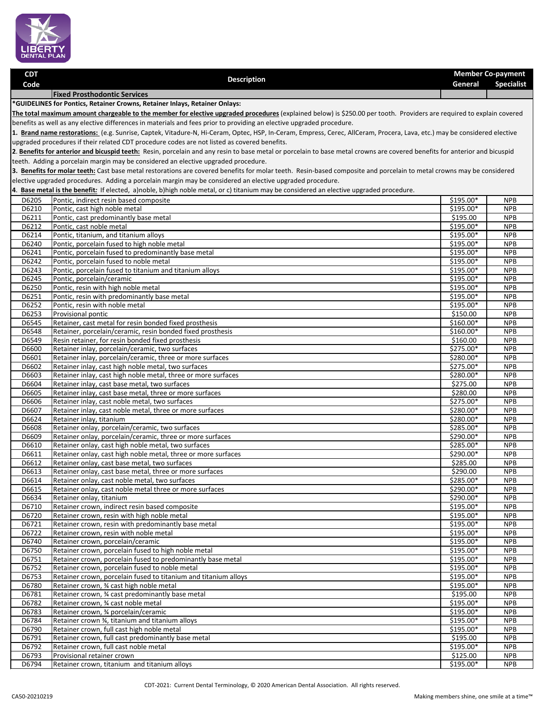

| <b>CDT</b>                                                                  |                                     | <b>Member Co-payment</b> |            |
|-----------------------------------------------------------------------------|-------------------------------------|--------------------------|------------|
| Code                                                                        | <b>Description</b>                  | General                  | Specialist |
|                                                                             | <b>Fixed Prosthodontic Services</b> |                          |            |
| *GUIDELINES for Pontics, Retainer Crowns, Retainer Inlays, Retainer Onlays: |                                     |                          |            |

**The total maximum amount chargeable to the member for elective upgraded procedures** (explained below) is \$250.00 per tooth. Providers are required to explain covered benefits as well as any elective differences in materials and fees prior to providing an elective upgraded procedure.

**1. Brand name restorations:** (e.g. Sunrise, Captek, Vitadure-N, Hi-Ceram, Optec, HSP, In-Ceram, Empress, Cerec, AllCeram, Procera, Lava, etc.) may be considered elective upgraded procedures if their related CDT procedure codes are not listed as covered benefits.

2. Benefits for anterior and bicuspid teeth: Resin, porcelain and any resin to base metal or porcelain to base metal crowns are covered benefits for anterior and bicuspid teeth. Adding a porcelain margin may be considered an elective upgraded procedure.

**3. Benefits for molar teeth:** Cast base metal restorations are covered benefits for molar teeth. Resin-based composite and porcelain to metal crowns may be considered elective upgraded procedures. Adding a porcelain margin may be considered an elective upgraded procedure.

**4**. **Base metal is the benefit***:* If elected, a)noble, b)high noble metal, or c) titanium may be considered an elective upgraded procedure.

| D6205 | Pontic, indirect resin based composite                               | \$195.00*              | <b>NPB</b> |
|-------|----------------------------------------------------------------------|------------------------|------------|
| D6210 | Pontic, cast high noble metal                                        |                        | <b>NPB</b> |
| D6211 | Pontic, cast predominantly base metal                                | \$195.00               | <b>NPB</b> |
| D6212 | Pontic, cast noble metal                                             | \$195.00*              | <b>NPB</b> |
| D6214 | Pontic, titanium, and titanium alloys                                | \$195.00*              | <b>NPB</b> |
| D6240 | Pontic, porcelain fused to high noble metal                          | \$195.00*              | <b>NPB</b> |
| D6241 | Pontic, porcelain fused to predominantly base metal<br>\$195.00*     |                        | <b>NPB</b> |
| D6242 | Pontic, porcelain fused to noble metal                               | \$195.00*              | <b>NPB</b> |
| D6243 | Pontic, porcelain fused to titanium and titanium alloys<br>\$195.00* |                        | <b>NPB</b> |
| D6245 | Pontic, porcelain/ceramic                                            | \$195.00*              | <b>NPB</b> |
| D6250 | Pontic, resin with high noble metal                                  | $$195.00*$             | <b>NPB</b> |
| D6251 | Pontic, resin with predominantly base metal                          | \$195.00*              | <b>NPB</b> |
| D6252 | Pontic, resin with noble metal                                       | \$195.00*              | <b>NPB</b> |
| D6253 | Provisional pontic                                                   | \$150.00               | <b>NPB</b> |
| D6545 | Retainer, cast metal for resin bonded fixed prosthesis               | $$160.00*$             | <b>NPB</b> |
| D6548 | Retainer, porcelain/ceramic, resin bonded fixed prosthesis           | \$160.00*              | <b>NPB</b> |
| D6549 | Resin retainer, for resin bonded fixed prosthesis                    | \$160.00               | <b>NPB</b> |
| D6600 | Retainer inlay, porcelain/ceramic, two surfaces                      | \$275.00*              | <b>NPB</b> |
| D6601 | Retainer inlay, porcelain/ceramic, three or more surfaces            | \$280.00*              | <b>NPB</b> |
| D6602 | Retainer inlay, cast high noble metal, two surfaces                  | \$275.00*              | <b>NPB</b> |
| D6603 | Retainer inlay, cast high noble metal, three or more surfaces        | \$280.00*              | <b>NPB</b> |
| D6604 | Retainer inlay, cast base metal, two surfaces                        | \$275.00               | <b>NPB</b> |
| D6605 | Retainer inlay, cast base metal, three or more surfaces              | 5280.00                | <b>NPB</b> |
| D6606 | Retainer inlay, cast noble metal, two surfaces                       | \$275.00*              | <b>NPB</b> |
| D6607 | Retainer inlay, cast noble metal, three or more surfaces             | $$280.00*$             | <b>NPB</b> |
| D6624 | Retainer inlay, titanium                                             | \$280.00*              | <b>NPB</b> |
| D6608 | Retainer onlay, porcelain/ceramic, two surfaces                      | \$285.00*              | <b>NPB</b> |
| D6609 | Retainer onlay, porcelain/ceramic, three or more surfaces            | \$290.00*              | <b>NPB</b> |
| D6610 | Retainer onlay, cast high noble metal, two surfaces                  | \$285.00*              | <b>NPB</b> |
| D6611 | Retainer onlay, cast high noble metal, three or more surfaces        | \$290.00*              | <b>NPB</b> |
| D6612 | Retainer onlay, cast base metal, two surfaces                        | \$285.00               | <b>NPB</b> |
| D6613 | Retainer onlay, cast base metal, three or more surfaces              | \$290.00               | <b>NPB</b> |
| D6614 | Retainer onlay, cast noble metal, two surfaces                       | \$285.00*              | <b>NPB</b> |
| D6615 | Retainer onlay, cast noble metal three or more surfaces              | \$290.00*<br>\$290.00* | <b>NPB</b> |
| D6634 | Retainer onlay, titanium<br>\$195.00*                                |                        | <b>NPB</b> |
| D6710 | Retainer crown, indirect resin based composite                       |                        | <b>NPB</b> |
| D6720 | Retainer crown, resin with high noble metal                          | \$195.00*              | <b>NPB</b> |
| D6721 | Retainer crown, resin with predominantly base metal                  | \$195.00*              | <b>NPB</b> |
| D6722 | Retainer crown, resin with noble metal                               | \$195.00*              | <b>NPB</b> |
| D6740 | Retainer crown, porcelain/ceramic                                    | \$195.00*              | <b>NPB</b> |
| D6750 | Retainer crown, porcelain fused to high noble metal                  | \$195.00*              | <b>NPB</b> |
| D6751 | Retainer crown, porcelain fused to predominantly base metal          | \$195.00*              | <b>NPB</b> |
| D6752 | Retainer crown, porcelain fused to noble metal                       | \$195.00*              | <b>NPB</b> |
| D6753 | Retainer crown, porcelain fused to titanium and titanium alloys      | \$195.00*              | <b>NPB</b> |
| D6780 | Retainer crown, % cast high noble metal                              | \$195.00*              | <b>NPB</b> |
| D6781 | Retainer crown, 3⁄4 cast predominantly base metal                    | \$195.00               | <b>NPB</b> |
| D6782 | Retainer crown, 34 cast noble metal                                  | \$195.00*              | <b>NPB</b> |
| D6783 | Retainer crown, 34 porcelain/ceramic                                 | \$195.00*              | <b>NPB</b> |
| D6784 | Retainer crown 3⁄4, titanium and titanium alloys                     | \$195.00*              | <b>NPB</b> |
| D6790 | Retainer crown, full cast high noble metal                           | \$195.00*              | <b>NPB</b> |
| D6791 | Retainer crown, full cast predominantly base metal                   | \$195.00               | <b>NPB</b> |
| D6792 | Retainer crown, full cast noble metal                                | \$195.00*              | <b>NPB</b> |
| D6793 | Provisional retainer crown                                           | \$125.00               | <b>NPB</b> |
| D6794 | Retainer crown, titanium and titanium alloys                         | \$195.00*              | <b>NPB</b> |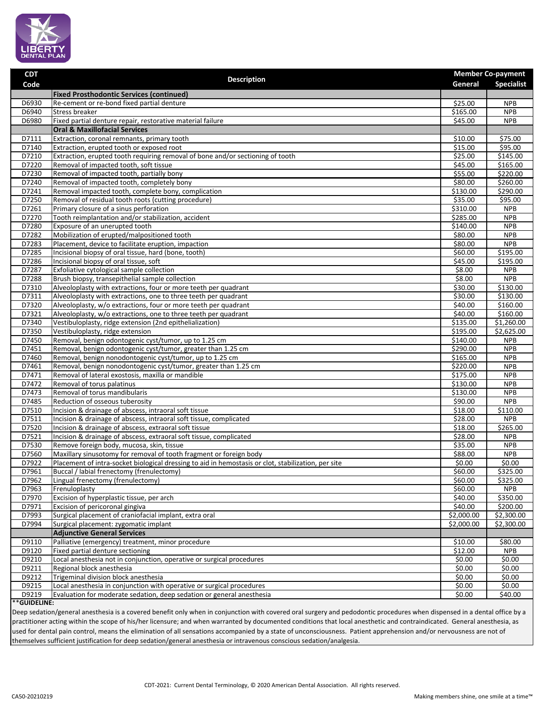

| <b>CDT</b>     |                                                                                                                      |                        | <b>Member Co-payment</b> |
|----------------|----------------------------------------------------------------------------------------------------------------------|------------------------|--------------------------|
| Code           | <b>Description</b>                                                                                                   | General                | <b>Specialist</b>        |
|                | <b>Fixed Prosthodontic Services (continued)</b>                                                                      |                        |                          |
| D6930          | Re-cement or re-bond fixed partial denture                                                                           | \$25.00                | <b>NPB</b>               |
| D6940          | <b>Stress breaker</b>                                                                                                | \$165.00               | <b>NPB</b>               |
| D6980          | Fixed partial denture repair, restorative material failure                                                           | \$45.00                | <b>NPB</b>               |
|                | <b>Oral &amp; Maxillofacial Services</b>                                                                             |                        |                          |
| D7111          | Extraction, coronal remnants, primary tooth                                                                          | \$10.00                | \$75.00                  |
| D7140          | Extraction, erupted tooth or exposed root                                                                            | \$15.00                | \$95.00                  |
| D7210          | Extraction, erupted tooth requiring removal of bone and/or sectioning of tooth                                       | \$25.00                | \$145.00                 |
| D7220          | Removal of impacted tooth, soft tissue                                                                               | \$45.00                | \$165.00                 |
| D7230          | Removal of impacted tooth, partially bony                                                                            | \$55.00                | \$220.00                 |
| D7240          | Removal of impacted tooth, completely bony                                                                           | \$80.00                | \$260.00                 |
| D7241          | Removal impacted tooth, complete bony, complication                                                                  | \$130.00               | \$290.00                 |
| D7250          | Removal of residual tooth roots (cutting procedure)                                                                  | \$35.00                | \$95.00                  |
| D7261          | Primary closure of a sinus perforation                                                                               | \$310.00               | <b>NPB</b>               |
| D7270          | Tooth reimplantation and/or stabilization, accident                                                                  | \$285.00               | <b>NPB</b>               |
| D7280          | Exposure of an unerupted tooth                                                                                       | 5140.00                | <b>NPB</b>               |
| D7282          | Mobilization of erupted/malpositioned tooth                                                                          | \$80.00                | <b>NPB</b>               |
| D7283          | Placement, device to facilitate eruption, impaction                                                                  | \$80.00                | <b>NPB</b>               |
| D7285          | Incisional biopsy of oral tissue, hard (bone, tooth)                                                                 | \$60.00                | \$195.00                 |
| D7286          | Incisional biopsy of oral tissue, soft                                                                               | \$45.00                | \$195.00                 |
| D7287          | Exfoliative cytological sample collection                                                                            | \$8.00                 | <b>NPB</b>               |
| D7288          | Brush biopsy, transepithelial sample collection                                                                      | \$8.00                 | <b>NPB</b>               |
| D7310          | Alveoloplasty with extractions, four or more teeth per quadrant                                                      | \$30.00                | \$130.00                 |
| D7311          | Alveoloplasty with extractions, one to three teeth per quadrant                                                      | \$30.00                | \$130.00                 |
| D7320          | Alveoloplasty, w/o extractions, four or more teeth per quadrant                                                      | \$40.00                | \$160.00                 |
| D7321          | Alveoloplasty, w/o extractions, one to three teeth per quadrant                                                      | \$40.00                | \$160.00                 |
| D7340          | Vestibuloplasty, ridge extension (2nd epithelialization)                                                             | \$135.00               | \$1,260.00               |
| D7350          | Vestibuloplasty, ridge extension                                                                                     | \$195.00               | \$2,625.00               |
| D7450          | Removal, benign odontogenic cyst/tumor, up to 1.25 cm                                                                | \$140.00               | <b>NPB</b>               |
| D7451          | Removal, benign odontogenic cyst/tumor, greater than 1.25 cm                                                         | 5290.00                | <b>NPB</b>               |
| D7460          | Removal, benign nonodontogenic cyst/tumor, up to 1.25 cm                                                             | \$165.00<br>\$220.00   | <b>NPB</b>               |
| D7461          | Removal, benign nonodontogenic cyst/tumor, greater than 1.25 cm<br>Removal of lateral exostosis, maxilla or mandible | \$175.00               | <b>NPB</b><br><b>NPB</b> |
| D7471          |                                                                                                                      |                        |                          |
| D7472          | Removal of torus palatinus                                                                                           | \$130.00               | <b>NPB</b>               |
| D7473<br>D7485 | Removal of torus mandibularis<br>Reduction of osseous tuberosity                                                     | \$130.00<br>\$90.00    | <b>NPB</b><br><b>NPB</b> |
| D7510          | Incision & drainage of abscess, intraoral soft tissue                                                                | \$18.00                | \$110.00                 |
| D7511          | Incision & drainage of abscess, intraoral soft tissue, complicated                                                   | \$28.00                | <b>NPB</b>               |
| D7520          | Incision & drainage of abscess, extraoral soft tissue                                                                | \$18.00                | \$265.00                 |
| D7521          | Incision & drainage of abscess, extraoral soft tissue, complicated                                                   | \$28.00                | <b>NPB</b>               |
| D7530          | Remove foreign body, mucosa, skin, tissue                                                                            | \$35.00                | <b>NPB</b>               |
| D7560          | Maxillary sinusotomy for removal of tooth fragment or foreign body                                                   | \$88.00                | <b>NPB</b>               |
| D7922          | Placement of intra-socket biological dressing to aid in hemostasis or clot, stabilization, per site                  | \$0.00                 | \$0.00                   |
| D7961          | Buccal / labial frenectomy (frenulectomy)                                                                            | \$60.00                | \$325.00                 |
| D7962          | Lingual frenectomy (frenulectomy)                                                                                    | \$60.00                | \$325.00                 |
| D7963          | Frenuloplasty                                                                                                        | \$60.00                | <b>NPB</b>               |
| D7970          | Excision of hyperplastic tissue, per arch                                                                            | \$40.00                | \$350.00                 |
| D7971          | Excision of pericoronal gingiva                                                                                      | \$40.00                | \$200.00                 |
| D7993          | Surgical placement of craniofacial implant, extra oral                                                               | $\overline{$}2,000.00$ | \$2,300.00               |
| D7994          | Surgical placement: zygomatic implant                                                                                | \$2,000.00             | \$2,300.00               |
|                | <b>Adjunctive General Services</b>                                                                                   |                        |                          |
| D9110          | Palliative (emergency) treatment, minor procedure                                                                    | \$10.00                | \$80.00                  |
| D9120          | Fixed partial denture sectioning                                                                                     | \$12.00                | <b>NPB</b>               |
| D9210          | Local anesthesia not in conjunction, operative or surgical procedures                                                | \$0.00                 | \$0.00                   |
| D9211          | Regional block anesthesia                                                                                            | \$0.00                 | \$0.00                   |
| D9212          | Trigeminal division block anesthesia                                                                                 | \$0.00                 | \$0.00                   |
| D9215          | Local anesthesia in conjunction with operative or surgical procedures                                                | \$0.00                 | \$0.00                   |
| D9219          | Evaluation for moderate sedation, deep sedation or general anesthesia                                                | \$0.00                 | \$40.00                  |
| **GUIDELINE:   |                                                                                                                      |                        |                          |

Deep sedation/general anesthesia is a covered benefit only when in conjunction with covered oral surgery and pedodontic procedures when dispensed in a dental office by a practitioner acting within the scope of his/her licensure; and when warranted by documented conditions that local anesthetic and contraindicated. General anesthesia, as used for dental pain control, means the elimination of all sensations accompanied by a state of unconsciousness. Patient apprehension and/or nervousness are not of themselves sufficient justification for deep sedation/general anesthesia or intravenous conscious sedation/analgesia.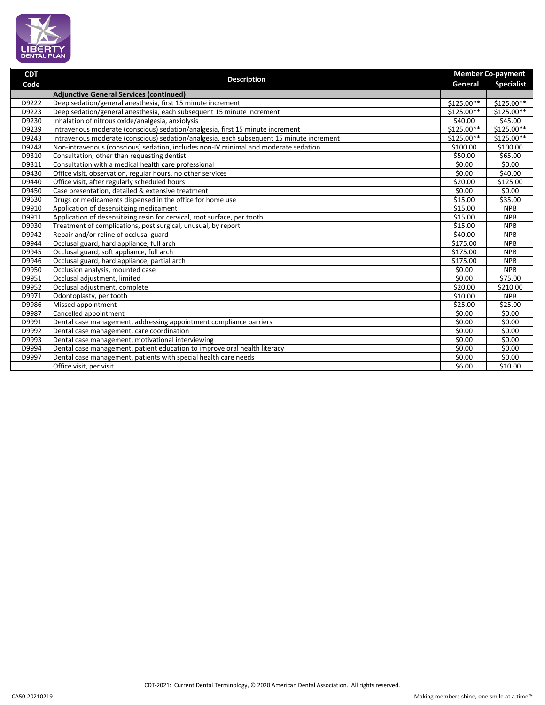

| <b>CDT</b> | <b>Description</b>                                                                       |             | <b>Member Co-payment</b> |  |
|------------|------------------------------------------------------------------------------------------|-------------|--------------------------|--|
| Code       |                                                                                          |             | <b>Specialist</b>        |  |
|            | <b>Adjunctive General Services (continued)</b>                                           |             |                          |  |
| D9222      | Deep sedation/general anesthesia, first 15 minute increment                              | \$125.00**  | \$125.00**               |  |
| D9223      | Deep sedation/general anesthesia, each subsequent 15 minute increment                    | \$125.00**  | \$125.00**               |  |
| D9230      | Inhalation of nitrous oxide/analgesia, anxiolysis                                        | \$40.00     | \$45.00                  |  |
| D9239      | Intravenous moderate (conscious) sedation/analgesia, first 15 minute increment           | $$125.00**$ | $$125.00**$$             |  |
| D9243      | Intravenous moderate (conscious) sedation/analgesia, each subsequent 15 minute increment | $$125.00**$ | $$125.00**$              |  |
| D9248      | Non-intravenous (conscious) sedation, includes non-IV minimal and moderate sedation      | \$100.00    | \$100.00                 |  |
| D9310      | Consultation, other than requesting dentist                                              | \$50.00     | \$65.00                  |  |
| D9311      | Consultation with a medical health care professional                                     | \$0.00      | 50.00                    |  |
| D9430      | Office visit, observation, regular hours, no other services                              | \$0.00      | \$40.00                  |  |
| D9440      | Office visit, after regularly scheduled hours                                            | \$20.00     | \$125.00                 |  |
| D9450      | Case presentation, detailed & extensive treatment                                        | \$0.00      | \$0.00                   |  |
| D9630      | Drugs or medicaments dispensed in the office for home use                                | \$15.00     | \$35.00                  |  |
| D9910      | Application of desensitizing medicament                                                  | \$15.00     | <b>NPB</b>               |  |
| D9911      | Application of desensitizing resin for cervical, root surface, per tooth                 | \$15.00     | <b>NPB</b>               |  |
| D9930      | Treatment of complications, post surgical, unusual, by report                            | \$15.00     | <b>NPB</b>               |  |
| D9942      | Repair and/or reline of occlusal guard                                                   | \$40.00     | <b>NPB</b>               |  |
| D9944      | Occlusal guard, hard appliance, full arch                                                | \$175.00    | <b>NPB</b>               |  |
| D9945      | Occlusal guard, soft appliance, full arch                                                |             | <b>NPB</b>               |  |
| D9946      | Occlusal guard, hard appliance, partial arch                                             | \$175.00    | <b>NPB</b>               |  |
| D9950      | Occlusion analysis, mounted case                                                         | \$0.00      | <b>NPB</b>               |  |
| D9951      | Occlusal adjustment, limited                                                             | \$0.00      | \$75.00                  |  |
| D9952      | Occlusal adjustment, complete                                                            | \$20.00     | $\overline{$}210.00$     |  |
| D9971      | Odontoplasty, per tooth                                                                  | \$10.00     | <b>NPB</b>               |  |
| D9986      | Missed appointment                                                                       | \$25.00     | \$25.00                  |  |
| D9987      | Cancelled appointment                                                                    | \$0.00      | \$0.00                   |  |
| D9991      | Dental case management, addressing appointment compliance barriers                       | \$0.00      | \$0.00                   |  |
| D9992      | Dental case management, care coordination                                                | \$0.00      | \$0.00                   |  |
| D9993      | Dental case management, motivational interviewing                                        | \$0.00      | \$0.00                   |  |
| D9994      | Dental case management, patient education to improve oral health literacy                | \$0.00      | \$0.00                   |  |
| D9997      | Dental case management, patients with special health care needs                          | \$0.00      | \$0.00                   |  |
|            | Office visit, per visit                                                                  | \$6.00      | \$10.00                  |  |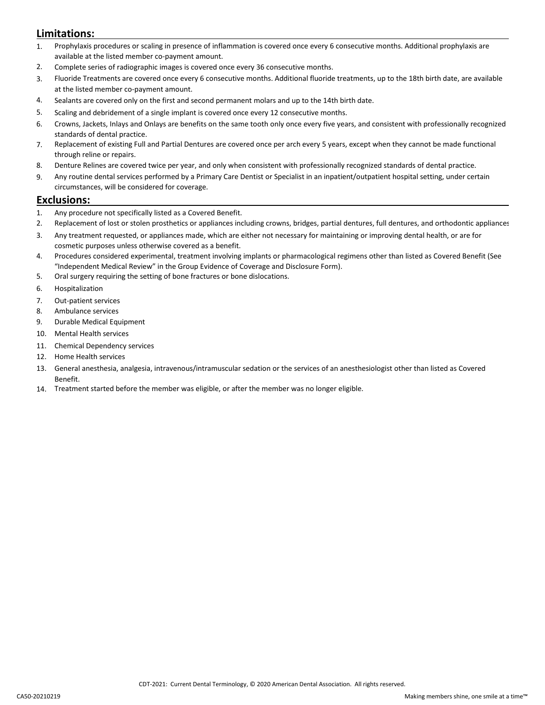## **Limitations:**

- 1. Prophylaxis procedures or scaling in presence of inflammation is covered once every 6 consecutive months. Additional prophylaxis are available at the listed member co-payment amount.
- 2. Complete series of radiographic images is covered once every 36 consecutive months.
- 3. Fluoride Treatments are covered once every 6 consecutive months. Additional fluoride treatments, up to the 18th birth date, are available at the listed member co-payment amount.
- 4. Sealants are covered only on the first and second permanent molars and up to the 14th birth date.
- 5. Scaling and debridement of a single implant is covered once every 12 consecutive months.
- 6. Crowns, Jackets, Inlays and Onlays are benefits on the same tooth only once every five years, and consistent with professionally recognized standards of dental practice.
- 7. Replacement of existing Full and Partial Dentures are covered once per arch every 5 years, except when they cannot be made functional through reline or repairs.
- 8. Denture Relines are covered twice per year, and only when consistent with professionally recognized standards of dental practice.
- 9. Any routine dental services performed by a Primary Care Dentist or Specialist in an inpatient/outpatient hospital setting, under certain circumstances, will be considered for coverage.

### **Exclusions:**

- 1. Any procedure not specifically listed as a Covered Benefit.
- 2. Replacement of lost or stolen prosthetics or appliances including crowns, bridges, partial dentures, full dentures, and orthodontic appliances
- 3. Any treatment requested, or appliances made, which are either not necessary for maintaining or improving dental health, or are for cosmetic purposes unless otherwise covered as a benefit.
- 4. Procedures considered experimental, treatment involving implants or pharmacological regimens other than listed as Covered Benefit (See "Independent Medical Review" in the Group Evidence of Coverage and Disclosure Form).
- 5. Oral surgery requiring the setting of bone fractures or bone dislocations.
- 6. Hospitalization
- 7. Out-patient services
- 8. Ambulance services
- 9. Durable Medical Equipment
- 10. Mental Health services
- 11. Chemical Dependency services
- 12. Home Health services
- 13. General anesthesia, analgesia, intravenous/intramuscular sedation or the services of an anesthesiologist other than listed as Covered Benefit.
- 14. Treatment started before the member was eligible, or after the member was no longer eligible.